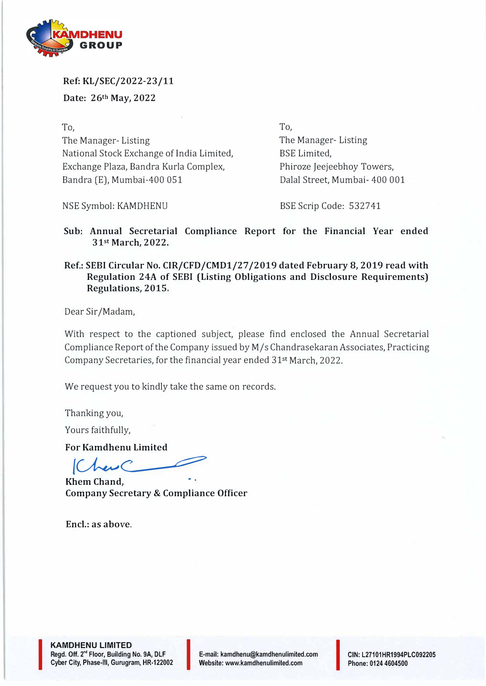

**Ref: KL/SEC/2022-23/11 Date: 26th May, 2022** 

**To,**  The Manager- Listing National Stock Exchange of India Limited, Exchange Plaza, Bandra Kurla Complex, Bandra (E), Mumbai-400 051

To, The Manager- Listing BSE Limited, Phiroze Jeejeebhoy Towers, Dalal Street, Mumbai- 400 001

NSE Symbol: KAMDHENU

BSE Scrip Code: 532741

**Sub: Annual Secretarial Compliance Report for the Financial Year ended 31st March, 2022.** 

Ref.: SEBI Circular No. CIR/CFD/CMD1/27/2019 dated February 8, 2019 read with **Regulation 24A of SEBI (Listing Obligations and Disclosure Requirements) Regulations, 2015.** 

Dear Sir /Madam,

With respect to the captioned subject, please find enclosed the Annual Secretarial Compliance Report of the Company issued by M/s Chandrasekaran Associates, Practicing Company Secretaries, for the financial year ended 31st March, 2022.

We request you to kindly take the same on records.

Thanking you,

Yours faithfully,

**For Kamdhenu Limited** 

 $(A_{\text{max}})$ 

**Khem Chand, Company Secretary & Compliance Officer** 

**Encl.: as above.** 

**KAMDHENU LIMITED Regd. Off. 2"' Floor, Building No. 9A, DLF Cyber City, Phase-Ill, Gurugram, HR-122002** I

**I** 

**E-mail: kamdhenu@kamdhenulimited.com E-mail: kamdhenu@kamdhenulimited.com**<br>Website: www.kamdhenulimited.com

**CIN: L27101HR1994PLC092205 Phone: 0124 4604500**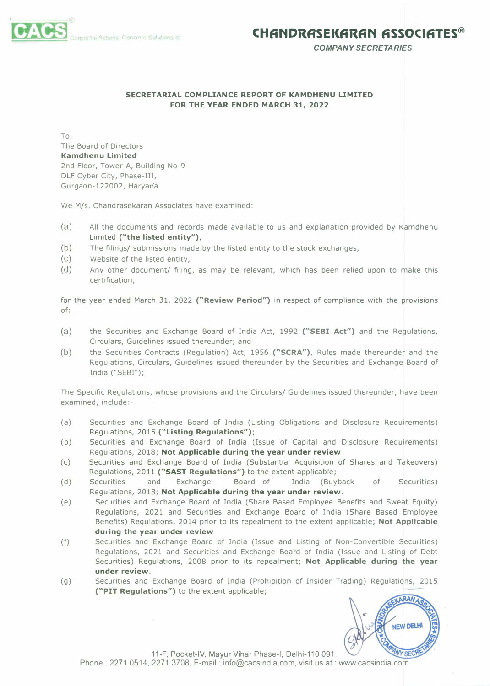*COMPANY SECRETARIES* 

## **SECRETARIAL COMPLIANCE REPORT OF KAMDHENU LIMITED FOR THE YEAR ENDED MARCH 31, 2022**

To, The Board of Directors **Kamdhenu Limited**  2nd Floor, Tower-A, Building No-9 DLF Cyber City, Phase-III, Gurgaon-122002, Haryaria

We M/s. Chandrasekaran Associates have examined:

- (a) All the documents and records made available to us and explanation provided by Kamdhenu Limited **("the listed entity"),**
- (b) The filings/ submissions made by the listed entity to the stock exchanges,
- (c) Website of the listed entity,
- (d) Any other document/ filing, as may be relevant, which has been relied upon to make this certification,

for the year ended March 31, 2022 **("Review Period")** in respect of compliance with the provisions of:

- (a) the Securities and Exchange Board of India Act, 1992 **("SEBI Act")** and the Regulations, Circulars, Guidelines issued thereunder; and
- (b) the Securities Contracts (Regulation) Act, 1956 **("SCRA"),** Rules made thereunder and the Regulations, Circulars, Guidelines issued thereunder by the Securities and Exchange Board of India ("SEBI");

The Specific Regulations, whose provisions and the Circulars/ Guidelines issued thereunder, have been examined, include:-

- (a) Securities and Exchange Board of India (Listing Obligations and Disclosure Requirements) Regulations, 2015 **("Listing Regulations");**
- (b) Securities and Exchange Board of India (Issue of Capital and Disclosure Requirements) Regulations, 2018; **Not Applicable during the year under review**
- (c) Securities and Exchange Board of India (Substantial Acquisition of Shares and Takeovers) Regulations, 2011 **("SAST Regulations")** to the extent applicable;
- (d) Securities and Exchange Board of India (Buyback of Securities) Regulations, 2018; **Not Applicable during the year under review.**
- (e) Securities and Exchange Board of India (Share Based Employee Benefits and Sweat Equity) Regulations, 2021 and Securities and Exchange Board of India (Share Based Employee Benefits) Regulations, 2014 prior to its repealment to the extent applicable; **Not Applicable during the year under review**
- (f) Securities and Exchange Board of India (Issue and Listing of Non-Convertible Securities) Regulations, 2021 and Securities and Exchange Board of India (Issue and Listing of Debt Securities) Regulations, 2008 prior to its repealment; **Not Applicable during the year under review.**
- (g) Securities and Exchange Board of India (Prohibition of Insider Trading) Regulations, 2015 **("PIT Regulations")** to the extent applicable;



11-F, Pocket-IV, Mayur Vihar Phase-I, Delhi-110 091. Phone: 2271 0514, 2271 3708, E-mail : info@cacsindia.com, visit us at: www.cacsindia.com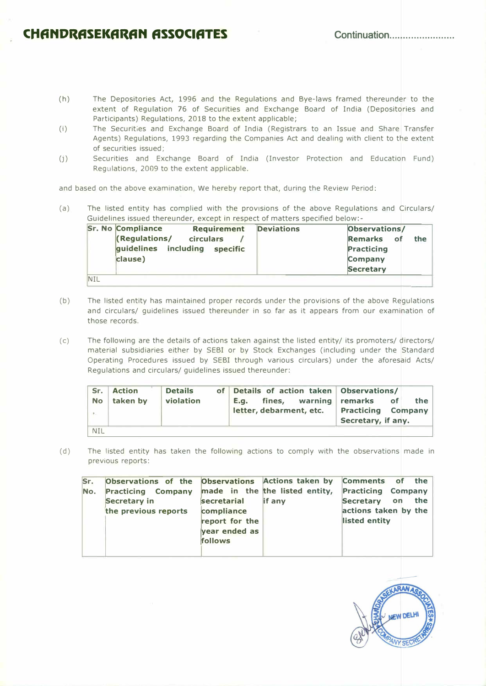## **CHfiNDRASEKflRAN ASSOCIATES Continuation ....................... .**

- (h) The Depositories Act, 1996 and the Regulations and Bye-laws framed thereunder to the extent of Regulation 76 of Securities and Exchange Board of India (Depositories and Participants) Regulations, 2018 to the extent applicable;
- (i) The Securities and Exchange Board of India (Registrars to an Issue and Share Transfer Agents) Regulations, 1993 regarding the Companies Act and dealing with client to the extent of securities issued;
- $(j)$ ) Securities and Exchange Board of India (Investor Protection and Education Fund) Regulations, 2009 to the extent applicable.

and based on the above examination, We hereby report that, during the Review Period:

(a) The listed entity has complied with the provisions of the above Regulations and Circulars/ Guidelines issued thereunder, except in respect of matters specified below:-

|            | <b>Sr. No Compliance</b>      | <b>Requirement</b> | <b>Deviations</b> | Observations/     |
|------------|-------------------------------|--------------------|-------------------|-------------------|
|            | <b>(Regulations/</b>          | <b>circulars</b>   |                   | Remarks of<br>the |
|            | guidelines including specific |                    |                   | <b>Practicing</b> |
|            | clause)                       |                    |                   | Company           |
|            |                               |                    |                   | <b>Secretary</b>  |
| <b>NIL</b> |                               |                    |                   |                   |

- (b) The listed entity has maintained proper records under the provisions of the above Regulations and circulars/ guidelines issued thereunder in so far as it appears from our examination of those records.
- $(c)$ The following are the details of actions taken against the listed entity/ its promoters/ directors/ material subsidiaries either by SEBI or by Stock Exchanges (including under the Standard Operating Procedures issued by SEBI through various circulars) under the aforesaid Acts/ Regulations and circulars/ guidelines issued thereunder:

| Sr.        | <b>Action</b> | <b>Details</b> | of Details of action taken Observations/ |                           |             |  |
|------------|---------------|----------------|------------------------------------------|---------------------------|-------------|--|
| <b>No</b>  | taken by      | violation      | fines, warning remarks<br><b>E.a.</b>    |                           | of l<br>the |  |
| 1997       |               |                | letter, debarment, etc.                  | <b>Practicing Company</b> |             |  |
|            |               |                |                                          | Secretary, if any.        |             |  |
| <b>NIL</b> |               |                |                                          |                           |             |  |

(d) The listed entity has taken the following actions to comply with the observations made in previous reports:

| Sr. | Observations of the Observations Actions taken by Comments of the |                |        |                                           |     |  |
|-----|-------------------------------------------------------------------|----------------|--------|-------------------------------------------|-----|--|
| No. | Practicing Company made in the the listed entity,<br>Secretary in | secretarial    | if any | <b>Practicing Company</b><br>Secretary on | the |  |
|     |                                                                   |                |        |                                           |     |  |
|     | the previous reports                                              | compliance     |        | actions taken by the                      |     |  |
|     |                                                                   | report for the |        | listed entity                             |     |  |
|     |                                                                   | year ended as  |        |                                           |     |  |
|     |                                                                   | follows        |        |                                           |     |  |
|     |                                                                   |                |        |                                           |     |  |